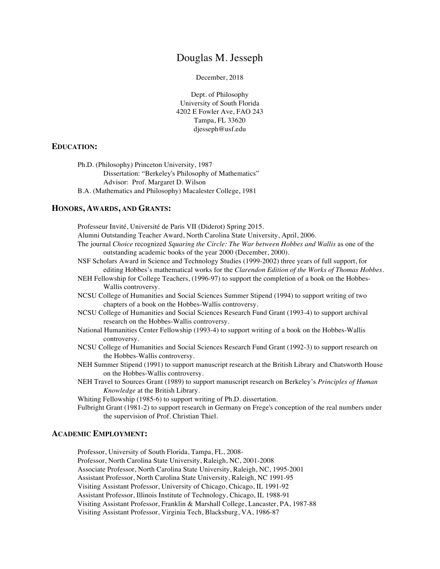# Douglas M. Jesseph

December, 2018

Dept. of Philosophy University of South Florida 4202 E Fowler Ave, FAO 243 Tampa, FL 33620 djesseph@usf.edu

# **EDUCATION:**

Ph.D. (Philosophy) Princeton University, 1987 Dissertation: "Berkeley's Philosophy of Mathematics" Advisor: Prof. Margaret D. Wilson B.A. (Mathematics and Philosophy) Macalester College, 1981

#### **HONORS, AWARDS, AND GRANTS:**

Professeur Invité, Université de Paris VII (Diderot) Spring 2015.

Alumni Outstanding Teacher Award, North Carolina State University, April, 2006.

- The journal *Choice* recognized *Squaring the Circle: The War between Hobbes and Wallis* as one of the outstanding academic books of the year 2000 (December, 2000).
- NSF Scholars Award in Science and Technology Studies (1999-2002) three years of full support, for editing Hobbes's mathematical works for the *Clarendon Edition of the Works of Thomas Hobbes*.
- NEH Fellowship for College Teachers, (1996-97) to support the completion of a book on the Hobbes-Wallis controversy.
- NCSU College of Humanities and Social Sciences Summer Stipend (1994) to support writing of two chapters of a book on the Hobbes-Wallis controversy.
- NCSU College of Humanities and Social Sciences Research Fund Grant (1993-4) to support archival research on the Hobbes-Wallis controversy.
- National Humanities Center Fellowship (1993-4) to support writing of a book on the Hobbes-Wallis controversy.
- NCSU College of Humanities and Social Sciences Research Fund Grant (1992-3) to support research on the Hobbes-Wallis controversy.
- NEH Summer Stipend (1991) to support manuscript research at the British Library and Chatsworth House on the Hobbes-Wallis controversy.
- NEH Travel to Sources Grant (1989) to support manuscript research on Berkeley's *Principles of Human Knowledge* at the British Library.
- Whiting Fellowship (1985-6) to support writing of Ph.D. dissertation.
- Fulbright Grant (1981-2) to support research in Germany on Frege's conception of the real numbers under the supervision of Prof. Christian Thiel.

#### **ACADEMIC EMPLOYMENT:**

Professor, University of South Florida, Tampa, FL, 2008-

Professor, North Carolina State University, Raleigh, NC, 2001-2008

Associate Professor, North Carolina State University, Raleigh, NC, 1995-2001

Assistant Professor, North Carolina State University, Raleigh, NC 1991-95

Visiting Assistant Professor, University of Chicago, Chicago, IL 1991-92

Assistant Professor, Illinois Institute of Technology, Chicago, IL 1988-91

Visiting Assistant Professor, Franklin & Marshall College, Lancaster, PA, 1987-88

Visiting Assistant Professor, Virginia Tech, Blacksburg, VA, 1986-87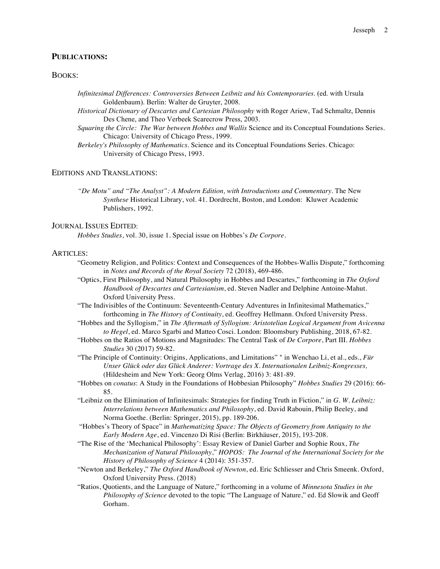#### **PUBLICATIONS:**

# BOOKS:

*Infinitesimal Differences: Controversies Between Leibniz and his Contemporaries*. (ed. with Ursula Goldenbaum). Berlin: Walter de Gruyter, 2008.

*Historical Dictionary of Descartes and Cartesian Philosophy* with Roger Ariew, Tad Schmaltz, Dennis Des Chene, and Theo Verbeek Scarecrow Press, 2003.

*Squaring the Circle: The War between Hobbes and Wallis* Science and its Conceptual Foundations Series. Chicago: University of Chicago Press, 1999.

*Berkeley's Philosophy of Mathematics*. Science and its Conceptual Foundations Series. Chicago: University of Chicago Press, 1993.

#### EDITIONS AND TRANSLATIONS:

*"De Motu" and "The Analyst": A Modern Edition, with Introductions and Commentary*. The New *Synthese* Historical Library, vol. 41. Dordrecht, Boston, and London: Kluwer Academic Publishers, 1992.

#### JOURNAL ISSUES EDITED:

*Hobbes Studies*, vol. 30, issue 1. Special issue on Hobbes's *De Corpore*.

## ARTICLES:

- "Geometry Religion, and Politics: Context and Consequences of the Hobbes-Wallis Dispute," forthcoming in *Notes and Records of the Royal Society* 72 (2018), 469-486.
- "Optics, First Philosophy, and Natural Philosophy in Hobbes and Descartes," forthcoming in *The Oxford Handbook of Descartes and Cartesianism*, ed. Steven Nadler and Delphine Antoine-Mahut. Oxford University Press.
- "The Indivisibles of the Continuum: Seventeenth-Century Adventures in Infinitesimal Mathematics," forthcoming in *The History of Continuity*, ed. Geoffrey Hellmann. Oxford University Press.
- "Hobbes and the Syllogism," in *The Aftermath of Syllogism: Aristotelian Logical Argument from Avicenna to Hegel*, ed. Marco Sgarbi and Matteo Cosci. London: Bloomsbury Publishing, 2018, 67-82.
- "Hobbes on the Ratios of Motions and Magnitudes: The Central Task of *De Corpore*, Part III. *Hobbes Studies* 30 (2017) 59-82.
- "The Principle of Continuity: Origins, Applications, and Limitations" " in Wenchao Li, et al., eds., *Für Unser Glück oder das Glück Anderer: Vortrage des X. Internationalen Leibniz-Kongresses,* (Hildesheim and New York: Georg Olms Verlag, 2016) 3: 481-89.
- "Hobbes on *conatus*: A Study in the Foundations of Hobbesian Philosophy" *Hobbes Studies* 29 (2016): 66- 85.
- "Leibniz on the Elimination of Infinitesimals: Strategies for finding Truth in Fiction," in *G. W. Leibniz: Interrelations between Mathematics and Philosophy*, ed. David Rabouin, Philip Beeley, and Norma Goethe. (Berlin: Springer, 2015), pp. 189-206.
- "Hobbes's Theory of Space" in *Mathematizing Space: The Objects of Geometry from Antiquity to the Early Modern Age*, ed. Vincenzo Di Risi (Berlin: Birkhäuser, 2015), 193-208.
- "The Rise of the 'Mechanical Philosophy': Essay Review of Daniel Garber and Sophie Roux, *The Mechanization of Natural Philosophy*," *HOPOS: The Journal of the International Society for the History of Philosophy of Science* 4 (2014): 351-357.
- "Newton and Berkeley," *The Oxford Handbook of Newton*, ed. Eric Schliesser and Chris Smeenk. Oxford, Oxford University Press. (2018)
- "Ratios, Quotients, and the Language of Nature," forthcoming in a volume of *Minnesota Studies in the Philosophy of Science* devoted to the topic "The Language of Nature," ed. Ed Slowik and Geoff Gorham.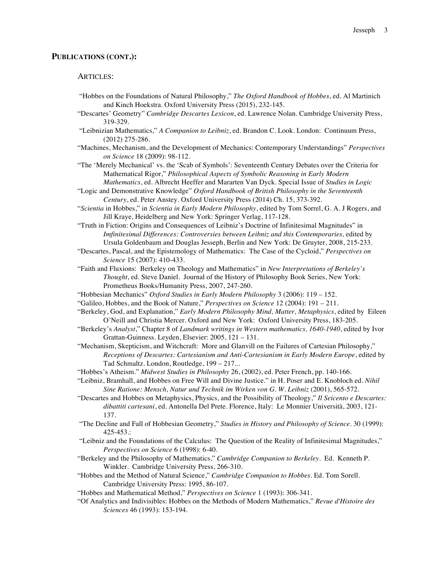#### **PUBLICATIONS (CONT.):**

# ARTICLES:

- "Hobbes on the Foundations of Natural Philosophy," *The Oxford Handbook of Hobbes*, ed. Al Martinich and Kinch Hoekstra. Oxford University Press (2015), 232-145.
- "Descartes' Geometry" *Cambridge Descartes Lexicon*, ed. Lawrence Nolan. Cambridge University Press, 319-329.
- "Leibnizian Mathematics," *A Companion to Leibniz*, ed. Brandon C. Look. London: Continuum Press, (2012) 275-286.
- "Machines, Mechanism, and the Development of Mechanics: Contemporary Understandings" *Perspectives on Science* 18 (2009): 98-112.
- "The 'Merely Mechanical' vs. the 'Scab of Symbols': Seventeenth Century Debates over the Criteria for Mathematical Rigor," *Philosophical Aspects of Symbolic Reasoning in Early Modern Mathematics*, ed. Albrecht Heeffer and Mararten Van Dyck. Special Issue of *Studies in Logic*
- "Logic and Demonstrative Knowledge" *Oxford Handbook of British Philosophy in the Seventeenth Century*, ed. Peter Anstey. Oxford University Press (2014) Ch. 15, 373-392.
- "*Scientia* in Hobbes," in *Scientia in Early Modern Philosophy*, edited by Tom Sorrel, G. A. J Rogers, and Jill Kraye, Heidelberg and New York: Springer Verlag, 117-128.
- "Truth in Fiction: Origins and Consequences of Leibniz's Doctrine of Infinitesimal Magnitudes" in Imfinitesimal Differences: Controversies between Leibniz and this Contemporaries, edited by Ursula Goldenbaum and Douglas Jesseph, Berlin and New York: De Gruyter, 2008, 215-233.
- "Descartes, Pascal, and the Epistemology of Mathematics: The Case of the Cycloid," *Perspectives on Science* 15 (2007): 410-433.
- "Faith and Fluxions: Berkeley on Theology and Mathematics" in *New Interpretations of Berkeley's Thought*, ed. Steve Daniel. Journal of the History of Philosophy Book Series, New York: Prometheus Books/Humanity Press, 2007, 247-260.
- "Hobbesian Mechanics" *Oxford Studies in Early Modern Philosophy* 3 (2006): 119 152.
- "Galileo, Hobbes, and the Book of Nature," *Perspectives on Science* 12 (2004): 191 211.
- "Berkeley, God, and Explanation," *Early Modern Philosophy Mind, Matter, Metaphysics*, edited by Eileen O'Neill and Christia Mercer. Oxford and New York: Oxford University Press, 183-205.
- "Berkeley's *Analyst*," Chapter 8 of *Landmark writings in Western mathematics, 1640-1940*, edited by Ivor Grattan-Guinness. Leyden, Elsevier: 2005, 121 – 131.
- "Mechanism, Skepticism, and Witchcraft: More and Glanvill on the Failures of Cartesian Philosophy," *Receptions of Descartes: Cartesianism and Anti-Cartesianism in Early Modern Europe*, edited by Tad Schmaltz*.* London, Routledge, 199 – 217...
- "Hobbes's Atheism." *Midwest Studies in Philosophy* 26, (2002), ed. Peter French, pp. 140-166.
- "Leibniz, Bramhall, and Hobbes on Free Will and Divine Justice." in H. Poser and E. Knobloch ed. *Nihil Sine Ratione: Mensch, Natur und Technik im Wirken von G. W. Leibniz* (2001), 565-572.
- "Descartes and Hobbes on Metaphysics, Physics, and the Possibility of Theology," *Il Seicento e Descartes: dibattiti cartesani*, ed. Antonella Del Prete. Florence, Italy: Le Monnier Università, 2003, 121- 137.
- "The Decline and Fall of Hobbesian Geometry," *Studies in History and Philosophy of Science*. 30 (1999): 425-453.:
- "Leibniz and the Foundations of the Calculus: The Question of the Reality of Infinitesimal Magnitudes," *Perspectives on Science* 6 (1998): 6-40.
- "Berkeley and the Philosophy of Mathematics," *Cambridge Companion to Berkeley*. Ed. Kenneth P. Winkler. Cambridge University Press, 266-310.
- "Hobbes and the Method of Natural Science," *Cambridge Companion to Hobbes*. Ed. Tom Sorell. Cambridge University Press: 1995, 86-107.
- "Hobbes and Mathematical Method," *Perspectives on Science* 1 (1993): 306-341.
- "Of Analytics and Indivisibles: Hobbes on the Methods of Modern Mathematics," *Revue d'Histoire des Sciences* 46 (1993): 153-194.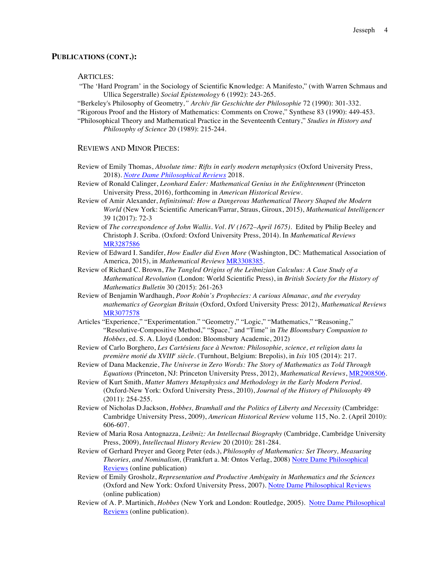#### **PUBLICATIONS (CONT.):**

ARTICLES:

"The 'Hard Program' in the Sociology of Scientific Knowledge: A Manifesto," (with Warren Schmaus and Ullica Segerstralle) *Social Epistemology* 6 (1992): 243-265.

"Berkeley's Philosophy of Geometry*," Archiv für Geschichte der Philosophie* 72 (1990): 301-332.

"Rigorous Proof and the History of Mathematics: Comments on Crowe," Synthese 83 (1990): 449-453.

"Philosophical Theory and Mathematical Practice in the Seventeenth Century," *Studies in History and Philosophy of Science* 20 (1989): 215-244.

#### REVIEWS AND MINOR PIECES:

- Review of Emily Thomas, *Absolute time: Rifts in early modern metaphysics* (Oxford University Press, 2018). *Notre Dame Philosophical Reviews* 2018.
- Review of Ronald Calinger, *Leonhard Euler: Mathematical Genius in the Enlightenment* (Princeton University Press, 2016), forthcoming in *American Historical Review.*
- Review of Amir Alexander, *Infinitsimal: How a Dangerous Mathematical Theory Shaped the Modern World* (New York: Scientific American/Farrar, Straus, Giroux, 2015), *Mathematical Intelligencer* 39 1(2017): 72-3
- Review of *The correspondence of John Wallis. Vol. IV (1672–April 1675).* Edited by Philip Beeley and Christoph J. Scriba. (Oxford: Oxford University Press, 2014). In *Mathematical Reviews* MR3287586
- Review of Edward I. Sandifer, *How Eudler did Even More* (Washington, DC: Mathematical Association of America, 2015), in *Mathematical Reviews* MR3308385.
- Review of Richard C. Brown, *The Tangled Origins of the Leibnizian Calculus: A Case Study of a Mathematical Revolution* (London: World Scientific Press), in *British Society for the History of Mathematics Bulletin* 30 (2015): 261-263
- Review of Benjamin Wardhaugh, *Poor Robin's Prophecies: A curious Almanac, and the everyday mathematics of Georgian Britain* (Oxford, Oxford University Press: 2012), *Mathematical Reviews* MR3077578
- Articles "Experience," "Experimentation." "Geometry," "Logic," "Mathematics," "Reasoning," "Resolutive-Compositive Method," "Space," and "Time" in *The Bloomsbury Companion to Hobbes*, ed. S. A. Lloyd (London: Bloomsbury Academic, 2012)
- Review of Carlo Borghero, *Les Cartésiens face à Newton: Philosophie, science, et religion dans la première motié du XVIII<sup>e</sup> siècle*. (Turnhout, Belgium: Brepolis), in *Isis* 105 (2014): 217.
- Review of Dana Mackenzie, *The Universe in Zero Words: The Story of Mathematics as Told Through Equations* (Princeton, NJ: Princeton University Press, 2012), *Mathematical Reviews*, MR2908506.
- Review of Kurt Smith, *Matter Matters Metaphysics and Methodology in the Early Modern Period.*  (Oxford-New York: Oxford University Press, 2010), *Journal of the History of Philosophy* 49 (2011): 254-255.
- Review of Nicholas D.Jackson, *Hobbes, Bramhall and the Politics of Liberty and Necessity* (Cambridge: Cambridge University Press, 2009), *American Historical Review* volume 115, No. 2. (April 2010): 606-607.
- Review of Maria Rosa Antognazza, *Leibniz: An Intellectual Biography* (Cambridge, Cambridge University Press, 2009), *Intellectual History Review* 20 (2010): 281-284.
- Review of Gerhard Preyer and Georg Peter (eds.), *Philosophy of Mathematics: Set Theory, Measuring Theories, and Nominalism,* (Frankfurt a. M: Ontos Verlag, 2008) Notre Dame Philosophical Reviews (online publication)
- Review of Emily Grosholz, *Representation and Productive Ambiguity in Mathematics and the Sciences* (Oxford and New York: Oxford University Press, 2007). Notre Dame Philosophical Reviews (online publication)
- Review of A. P. Martinich, *Hobbes* (New York and London: Routledge, 2005). Notre Dame Philosophical Reviews (online publication).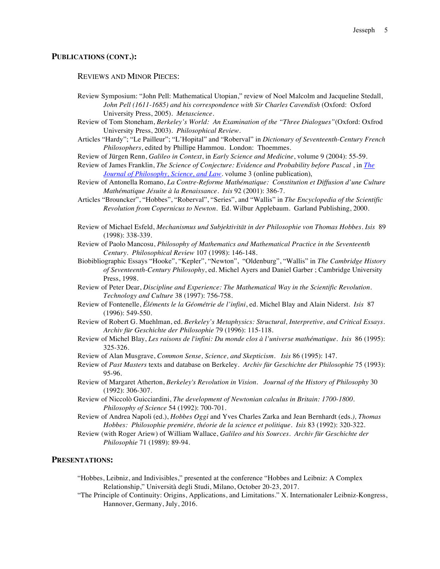#### **PUBLICATIONS (CONT.):**

REVIEWS AND MINOR PIECES:

- Review Symposium: "John Pell: Mathematical Utopian," review of Noel Malcolm and Jacqueline Stedall, *John Pell (1611-1685) and his correspondence with Sir Charles Cavendish* (Oxford: Oxford University Press, 2005). *Metascience*.
- Review of Tom Stoneham, *Berkeley's World: An Examination of the "Three Dialogues"*(Oxford: Oxfrod University Press, 2003). *Philosophical Review*.
- Articles "Hardy"; "Le Pailleur"; "L'Hopital" and "Roberval" in *Dictionary of Seventeenth-Century French Philosophers*, edited by Phillipe Hammou. London: Thoemmes.
- Review of Jürgen Renn, *Galileo in Context*, in *Early Science and Medicine*, volume 9 (2004): 55-59.
- Review of James Franklin, *The Science of Conjecture: Evidence and Probability before Pascal* , in *The Journal of Philosophy, Science, and Law*. volume 3 (online publication),
- Review of Antonella Romano, *La Contre-Reforme Mathématique: Constitution et Diffusion d'une Culture Mathématique Jésuite à la Renaissance*. *Isis* 92 (2001): 386-7.
- Articles "Brouncker", "Hobbes", "Roberval", "Series", and "Wallis" in *The Encyclopedia of the Scientific Revolution from Copernicus to Newton*. Ed. Wilbur Applebaum. Garland Publishing, 2000.
- Review of Michael Esfeld, *Mechanismus und Subjektivität in der Philosophie von Thomas Hobbes*. *Isis* 89 (1998): 338-339.
- Review of Paolo Mancosu, *Philosophy of Mathematics and Mathematical Practice in the Seventeenth Century. Philosophical Review* 107 (1998): 146-148.
- Biobibliographic Essays "Hooke", "Kepler", "Newton", "Oldenburg", "Wallis" in *The Cambridge History of Seventeenth-Century Philosophy*, ed. Michel Ayers and Daniel Garber ; Cambridge University Press, 1998.
- Review of Peter Dear, *Discipline and Experience: The Mathematical Way in the Scientific Revolution*. *Technology and Culture* 38 (1997): 756-758.
- Review of Fontenelle, *Éléments le la Géométrie de l'infini*, ed. Michel Blay and Alain Niderst. *Isis* 87 (1996): 549-550.
- Review of Robert G. Muehlman, ed. *Berkeley's Metaphysics: Structural, Interpretive, and Critical Essays*. *Archiv für Geschichte der Philosophie* 79 (1996): 115-118.
- Review of Michel Blay, *Les raisons de l'infini: Du monde clos à l'universe mathématique*. *Isis* 86 (1995): 325-326.
- Review of Alan Musgrave, *Common Sense, Science, and Skepticism*. *Isis* 86 (1995): 147.
- Review of *Past Masters* texts and database on Berkeley. *Archiv für Geschichte der Philosophie* 75 (1993): 95-96.
- Review of Margaret Atherton, *Berkeley's Revolution in Vision*. *Journal of the History of Philosophy* 30 (1992): 306-307.
- Review of Niccolò Guicciardini, *The development of Newtonian calculus in Britain: 1700-1800*. *Philosophy of Science* 54 (1992): 700-701.
- Review of Andrea Napoli (ed.), *Hobbes Oggi* and Yves Charles Zarka and Jean Bernhardt (eds*.), Thomas Hobbes: Philosophie premiére, théorie de la science et politique*. *Isis* 83 (1992): 320-322.
- Review (with Roger Ariew) of William Wallace, *Galileo and his Sources*. *Archiv für Geschichte der Philosophie* 71 (1989): 89-94.

# **PRESENTATIONS:**

- "Hobbes, Leibniz, and Indivisibles," presented at the conference "Hobbes and Leibniz: A Complex Relationship," Università degli Studi, Milano, October 20-23, 2017.
- "The Principle of Continuity: Origins, Applications, and Limitations." X. Internationaler Leibniz-Kongress, Hannover, Germany, July, 2016.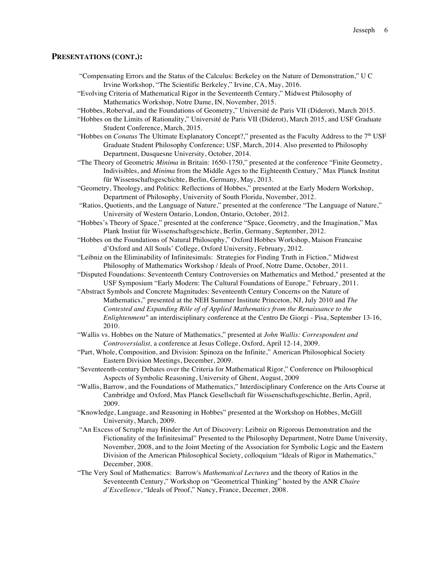#### **PRESENTATIONS (CONT.):**

- "Compensating Errors and the Status of the Calculus: Berkeley on the Nature of Demonstration," U C Irvine Workshop, "The Scientific Berkeley," Irvine, CA, May, 2016.
- "Evolving Criteria of Mathematical Rigor in the Seventeenth Century," Midwest Philosophy of Mathematics Workshop, Notre Dame, IN, November, 2015.
- "Hobbes, Roberval, and the Foundations of Geometry," Université de Paris VII (Diderot), March 2015.
- "Hobbes on the Limits of Rationality," Université de Paris VII (Diderot), March 2015, and USF Graduate Student Conference, March, 2015.
- "Hobbes on *Conatus* The Ultimate Explanatory Concept?," presented as the Faculty Address to the 7th USF Graduate Student Philosophy Conference; USF, March, 2014. Also presented to Philosophy Department, Dusquesne University, October, 2014.
- "The Theory of Geometric *Minima* in Britain: 1650-1750," presented at the conference "Finite Geometry, Indivisibles, and *Minima* from the Middle Ages to the Eighteenth Century," Max Planck Institut für Wissenschaftsgeschichte, Berlin, Germany, May, 2013.
- "Geometry, Theology, and Politics: Reflections of Hobbes," presented at the Early Modern Workshop, Department of Philosophy, University of South Florida, November, 2012.
- "Ratios, Quotients, and the Language of Nature," presented at the conference "The Language of Nature," University of Western Ontario, London, Ontario, October, 2012.
- "Hobbes's Theory of Space," presented at the conference "Space, Geometry, and the Imagination," Max Plank Instiut für Wissenschaftsgeschicte, Berlin, Germany, September, 2012.
- "Hobbes on the Foundations of Natural Philosophy," Oxford Hobbes Workshop, Maison Francaise d'Oxford and All Souls' College, Oxford University, February, 2012.
- "Leibniz on the Eliminability of Infinitesimals: Strategies for Finding Truth in Fiction," Midwest Philosophy of Mathematics Workshop / Ideals of Proof, Notre Dame, October, 2011.
- "Disputed Foundations: Seventeenth Century Controversies on Mathematics and Method," presented at the USF Symposium "Early Modern: The Cultural Foundations of Europe," February, 2011.
- "Abstract Symbols and Concrete Magnitudes: Seventeenth Century Concerns on the Nature of Mathematics," presented at the NEH Summer Institute Princeton, NJ, July 2010 and *The Contested and Expanding Rôle of of Applied Mathematics from the Renaissance to the Enlightenment"* an interdisciplinary conference at the Centro De Giorgi - Pisa, September 13-16, 2010.
- "Wallis vs. Hobbes on the Nature of Mathematics," presented at *John Wallis: Correspondent and Controversialist,* a conference at Jesus College, Oxford, April 12-14, 2009.
- "Part, Whole, Composition, and Division: Spinoza on the Infinite," American Philosophical Society Eastern Division Meetings, December, 2009.
- "Seventeenth-century Debates over the Criteria for Mathematical Rigor," Conference on Philosophical Aspects of Symbolic Reasoning, University of Ghent, August, 2009
- "Wallis, Barrow, and the Foundations of Mathematics," Interdisciplinary Conference on the Arts Course at Cambridge and Oxford, Max Planck Gesellschaft für Wissenschaftsgeschichte, Berlin, April, 2009.
- "Knowledge, Language, and Reasoning in Hobbes" presented at the Workshop on Hobbes, McGill University, March, 2009.
- "An Excess of Scruple may Hinder the Art of Discovery: Leibniz on Rigorous Demonstration and the Fictionality of the Infinitesimal" Presented to the Philosophy Department, Notre Dame University, November, 2008, and to the Joint Meeting of the Association for Symbolic Logic and the Eastern Division of the American Philosophical Society, colloquium "Ideals of Rigor in Mathematics," December, 2008.
- "The Very Soul of Mathematics: Barrow's *Mathematical Lectures* and the theory of Ratios in the Seventeenth Century," Workshop on "Geometrical Thinking" hosted by the ANR *Chaire d'Excellence*, "Ideals of Proof," Nancy, France, Decemer, 2008.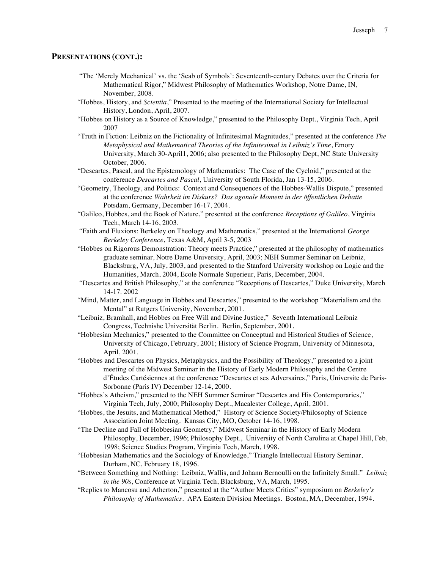#### **PRESENTATIONS (CONT.):**

- "The 'Merely Mechanical' vs. the 'Scab of Symbols': Seventeenth-century Debates over the Criteria for Mathematical Rigor," Midwest Philosophy of Mathematics Workshop, Notre Dame, IN, November, 2008.
- "Hobbes, History, and *Scientia*," Presented to the meeting of the International Society for Intellectual History, London, April, 2007.
- "Hobbes on History as a Source of Knowledge," presented to the Philosophy Dept., Virginia Tech, April 2007
- "Truth in Fiction: Leibniz on the Fictionality of Infinitesimal Magnitudes," presented at the conference *The Metaphysical and Mathematical Theories of the Infinitesimal in Leibniz's Time*, Emory University, March 30-April1, 2006; also presented to the Philosophy Dept, NC State University October, 2006.
- "Descartes, Pascal, and the Epistemology of Mathematics: The Case of the Cycloid," presented at the conference *Descartes and Pascal*, University of South Florida, Jan 13-15, 2006.
- "Geometry, Theology, and Politics: Context and Consequences of the Hobbes-Wallis Dispute," presented at the conference *Wahrheit im Diskurs? Das agonale Moment in der öffentlichen Debatte* Potsdam, Germany, December 16-17, 2004.
- "Galileo, Hobbes, and the Book of Nature," presented at the conference *Receptions of Galileo*, Virginia Tech, March 14-16, 2003.
- "Faith and Fluxions: Berkeley on Theology and Mathematics," presented at the International *George Berkeley Conference*, Texas A&M, April 3-5, 2003
- "Hobbes on Rigorous Demonstration: Theory meets Practice," presented at the philosophy of mathematics graduate seminar, Notre Dame University, April, 2003; NEH Summer Seminar on Leibniz, Blacksburg, VA, July, 2003, and presented to the Stanford University workshop on Logic and the Humanities, March, 2004, Ecole Normale Superieur, Paris, December, 2004.
- "Descartes and British Philosophy," at the conference "Receptions of Descartes," Duke University, March 14-17. 2002
- "Mind, Matter, and Language in Hobbes and Descartes," presented to the workshop "Materialism and the Mental" at Rutgers University, November, 2001.
- "Leibniz, Bramhall, and Hobbes on Free Will and Divine Justice," Seventh International Leibniz Congress, Technishe Universität Berlin. Berlin, September, 2001.
- "Hobbesian Mechanics," presented to the Committee on Conceptual and Historical Studies of Science, University of Chicago, February, 2001; History of Science Program, University of Minnesota, April, 2001.
- "Hobbes and Descartes on Physics, Metaphysics, and the Possibility of Theology," presented to a joint meeting of the Midwest Seminar in the History of Early Modern Philosophy and the Centre d'Études Cartésiennes at the conference "Descartes et ses Adversaires," Paris, Universite de Paris-Sorbonne (Paris IV) December 12-14, 2000.
- "Hobbes's Atheism," presented to the NEH Summer Seminar "Descartes and His Contemporaries," Virginia Tech, July, 2000; Philosophy Dept., Macalester College, April, 2001.
- "Hobbes, the Jesuits, and Mathematical Method," History of Science Society/Philosophy of Science Association Joint Meeting. Kansas City, MO, October 14-16, 1998.
- "The Decline and Fall of Hobbesian Geometry," Midwest Seminar in the History of Early Modern Philosophy, December, 1996; Philosophy Dept., University of North Carolina at Chapel Hill, Feb, 1998; Science Studies Program, Virginia Tech, March, 1998.
- "Hobbesian Mathematics and the Sociology of Knowledge," Triangle Intellectual History Seminar, Durham, NC, February 18, 1996.
- "Between Something and Nothing: Leibniz, Wallis, and Johann Bernoulli on the Infinitely Small." *Leibniz in the 90s*, Conference at Virginia Tech, Blacksburg, VA, March, 1995.
- "Replies to Mancosu and Atherton," presented at the "Author Meets Critics" symposium on *Berkeley's Philosophy of Mathematics*. APA Eastern Division Meetings. Boston, MA, December, 1994.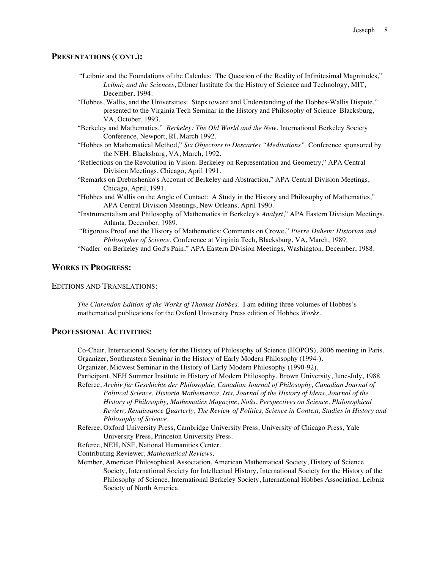#### **PRESENTATIONS (CONT.):**

- "Leibniz and the Foundations of the Calculus: The Question of the Reality of Infinitesimal Magnitudes," *Leibniz and the Sciences*, Dibner Institute for the History of Science and Technology, MIT, December, 1994.
- "Hobbes, Wallis, and the Universities: Steps toward and Understanding of the Hobbes-Wallis Dispute," presented to the Virginia Tech Seminar in the History and Philosophy of Science Blacksburg, VA, October, 1993.
- "Berkeley and Mathematics," *Berkeley: The Old World and the New*. International Berkeley Society Conference, Newport, RI, March 1992.
- "Hobbes on Mathematical Method," *Six Objectors to Descartes "Meditations".* Conference sponsored by the NEH. Blacksburg, VA, March, 1992.
- "Reflections on the Revolution in Vision: Berkeley on Representation and Geometry," APA Central Division Meetings, Chicago, April 1991.
- "Remarks on Drebushenko's Account of Berkeley and Abstraction," APA Central Division Meetings, Chicago, April, 1991.
- "Hobbes and Wallis on the Angle of Contact: A Study in the History and Philosophy of Mathematics," APA Central Division Meetings, New Orleans, April 1990.
- "Instrumentalism and Philosophy of Mathematics in Berkeley's *Analyst*," APA Eastern Division Meetings, Atlanta, December, 1989.
- "Rigorous Proof and the History of Mathematics: Comments on Crowe," *Pierre Duhem: Historian and Philosopher of Science*, Conference at Virginia Tech, Blacksburg, VA, March, 1989.

"Nadler on Berkeley and God's Pain," APA Eastern Division Meetings, Washington, December, 1988.

#### **WORKS IN PROGRESS:**

## EDITIONS AND TRANSLATIONS:

*The Clarendon Edition of the Works of Thomas Hobbes.* I am editing three volumes of Hobbes's mathematical publications for the Oxford University Press edition of Hobbes *Works*..

## **PROFESSIONAL ACTIVITIES:**

Co-Chair, International Society for the History of Philosophy of Science (HOPOS), 2006 meeting in Paris. Organizer, Southeastern Seminar in the History of Early Modern Philosophy (1994-).

Organizer, Midwest Seminar in the History of Early Modern Philosophy (1990-92).

Participant, NEH Summer Institute in History of Modern Philosophy, Brown University, June-July, 1988 Referee, *Archiv für Geschichte der Philosophie, Canadian Journal of Philosophy, Canadian Journal of* 

*Political Science, Historia Mathematica, Isis, Journal of the History of Ideas*, *Journal of the History of Philosophy, Mathematics Magazine, Noûs*, *Perspectives on Science, Philosophical Review, Renaissance Quarterly, The Review of Politics, Science in Context, Studies in History and Philosophy of Science*.

Referee, Oxford University Press, Cambridge University Press, University of Chicago Press, Yale University Press, Princeton University Press.

Referee, NEH, NSF, National Humanities Center.

Contributing Reviewer, *Mathematical Reviews*.

Member, American Philosophical Association, American Mathematical Society, History of Science Society, International Society for Intellectual History, International Society for the History of the Philosophy of Science, International Berkeley Society, International Hobbes Association, Leibniz Society of North America.